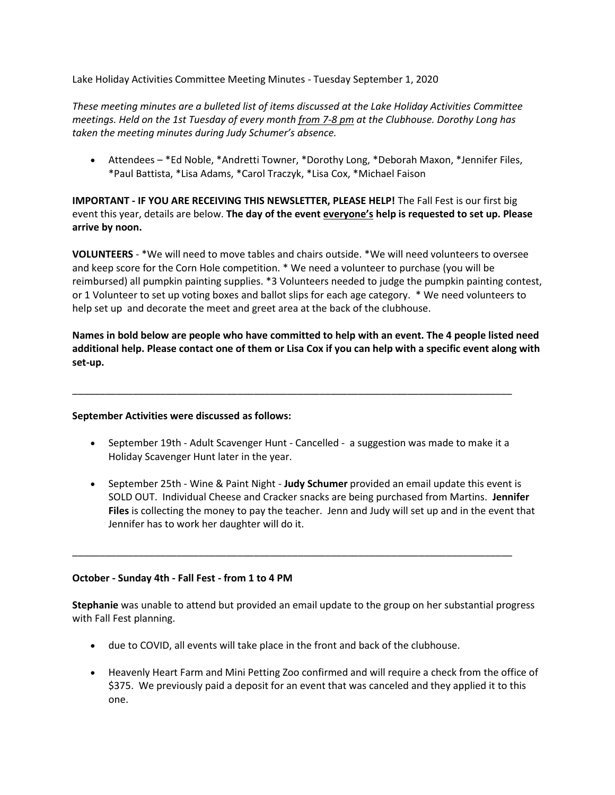Lake Holiday Activities Committee Meeting Minutes - Tuesday September 1, 2020

*These meeting minutes are a bulleted list of items discussed at the Lake Holiday Activities Committee meetings. Held on the 1st Tuesday of every month from 7-8 pm at the Clubhouse. Dorothy Long has taken the meeting minutes during Judy Schumer's absence.*

• Attendees – \*Ed Noble, \*Andretti Towner, \*Dorothy Long, \*Deborah Maxon, \*Jennifer Files, \*Paul Battista, \*Lisa Adams, \*Carol Traczyk, \*Lisa Cox, \*Michael Faison

**IMPORTANT - IF YOU ARE RECEIVING THIS NEWSLETTER, PLEASE HELP!** The Fall Fest is our first big event this year, details are below. **The day of the event everyone's help is requested to set up. Please arrive by noon.**

**VOLUNTEERS** - \*We will need to move tables and chairs outside. \*We will need volunteers to oversee and keep score for the Corn Hole competition. \* We need a volunteer to purchase (you will be reimbursed) all pumpkin painting supplies. \*3 Volunteers needed to judge the pumpkin painting contest, or 1 Volunteer to set up voting boxes and ballot slips for each age category. \* We need volunteers to help set up and decorate the meet and greet area at the back of the clubhouse.

**Names in bold below are people who have committed to help with an event. The 4 people listed need additional help. Please contact one of them or Lisa Cox if you can help with a specific event along with set-up.**

#### **September Activities were discussed as follows:**

• September 19th - Adult Scavenger Hunt - Cancelled - a suggestion was made to make it a Holiday Scavenger Hunt later in the year.

\_\_\_\_\_\_\_\_\_\_\_\_\_\_\_\_\_\_\_\_\_\_\_\_\_\_\_\_\_\_\_\_\_\_\_\_\_\_\_\_\_\_\_\_\_\_\_\_\_\_\_\_\_\_\_\_\_\_\_\_\_\_\_\_\_\_\_\_\_\_\_\_\_\_\_\_\_\_\_\_

• September 25th - Wine & Paint Night - **Judy Schumer** provided an email update this event is SOLD OUT. Individual Cheese and Cracker snacks are being purchased from Martins. **Jennifer Files** is collecting the money to pay the teacher. Jenn and Judy will set up and in the event that Jennifer has to work her daughter will do it.

#### **October - Sunday 4th - Fall Fest - from 1 to 4 PM**

**Stephanie** was unable to attend but provided an email update to the group on her substantial progress with Fall Fest planning.

\_\_\_\_\_\_\_\_\_\_\_\_\_\_\_\_\_\_\_\_\_\_\_\_\_\_\_\_\_\_\_\_\_\_\_\_\_\_\_\_\_\_\_\_\_\_\_\_\_\_\_\_\_\_\_\_\_\_\_\_\_\_\_\_\_\_\_\_\_\_\_\_\_\_\_\_\_\_\_\_

- due to COVID, all events will take place in the front and back of the clubhouse.
- Heavenly Heart Farm and Mini Petting Zoo confirmed and will require a check from the office of \$375. We previously paid a deposit for an event that was canceled and they applied it to this one.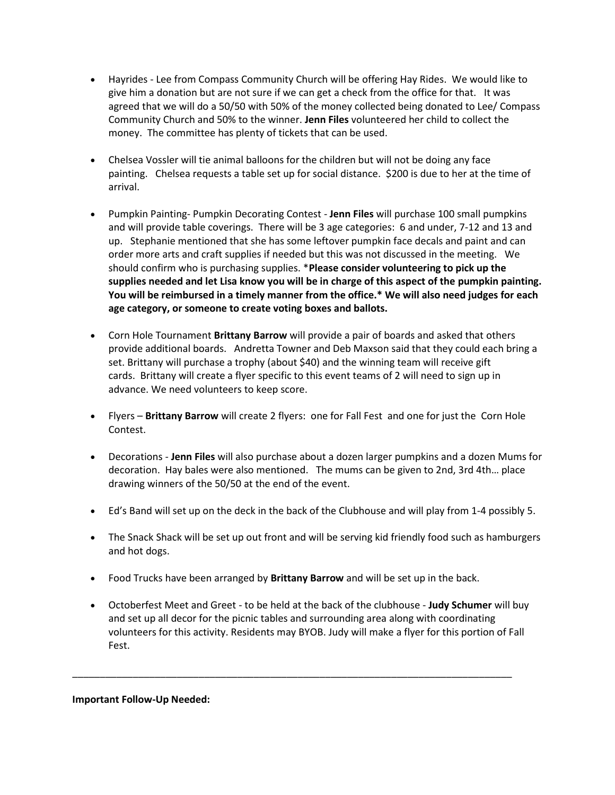- Hayrides Lee from Compass Community Church will be offering Hay Rides. We would like to give him a donation but are not sure if we can get a check from the office for that. It was agreed that we will do a 50/50 with 50% of the money collected being donated to Lee/ Compass Community Church and 50% to the winner. **Jenn Files** volunteered her child to collect the money. The committee has plenty of tickets that can be used.
- Chelsea Vossler will tie animal balloons for the children but will not be doing any face painting. Chelsea requests a table set up for social distance. \$200 is due to her at the time of arrival.
- Pumpkin Painting- Pumpkin Decorating Contest **Jenn Files** will purchase 100 small pumpkins and will provide table coverings. There will be 3 age categories: 6 and under, 7-12 and 13 and up. Stephanie mentioned that she has some leftover pumpkin face decals and paint and can order more arts and craft supplies if needed but this was not discussed in the meeting. We should confirm who is purchasing supplies. \***Please consider volunteering to pick up the supplies needed and let Lisa know you will be in charge of this aspect of the pumpkin painting. You will be reimbursed in a timely manner from the office.\* We will also need judges for each age category, or someone to create voting boxes and ballots.**
- Corn Hole Tournament **Brittany Barrow** will provide a pair of boards and asked that others provide additional boards. Andretta Towner and Deb Maxson said that they could each bring a set. Brittany will purchase a trophy (about \$40) and the winning team will receive gift cards. Brittany will create a flyer specific to this event teams of 2 will need to sign up in advance. We need volunteers to keep score.
- Flyers **Brittany Barrow** will create 2 flyers: one for Fall Fest and one for just the Corn Hole Contest.
- Decorations **Jenn Files** will also purchase about a dozen larger pumpkins and a dozen Mums for decoration. Hay bales were also mentioned. The mums can be given to 2nd, 3rd 4th… place drawing winners of the 50/50 at the end of the event.
- Ed's Band will set up on the deck in the back of the Clubhouse and will play from 1-4 possibly 5.
- The Snack Shack will be set up out front and will be serving kid friendly food such as hamburgers and hot dogs.
- Food Trucks have been arranged by **Brittany Barrow** and will be set up in the back.

\_\_\_\_\_\_\_\_\_\_\_\_\_\_\_\_\_\_\_\_\_\_\_\_\_\_\_\_\_\_\_\_\_\_\_\_\_\_\_\_\_\_\_\_\_\_\_\_\_\_\_\_\_\_\_\_\_\_\_\_\_\_\_\_\_\_\_\_\_\_\_\_\_\_\_\_\_\_\_\_

• Octoberfest Meet and Greet - to be held at the back of the clubhouse - **Judy Schumer** will buy and set up all decor for the picnic tables and surrounding area along with coordinating volunteers for this activity. Residents may BYOB. Judy will make a flyer for this portion of Fall Fest.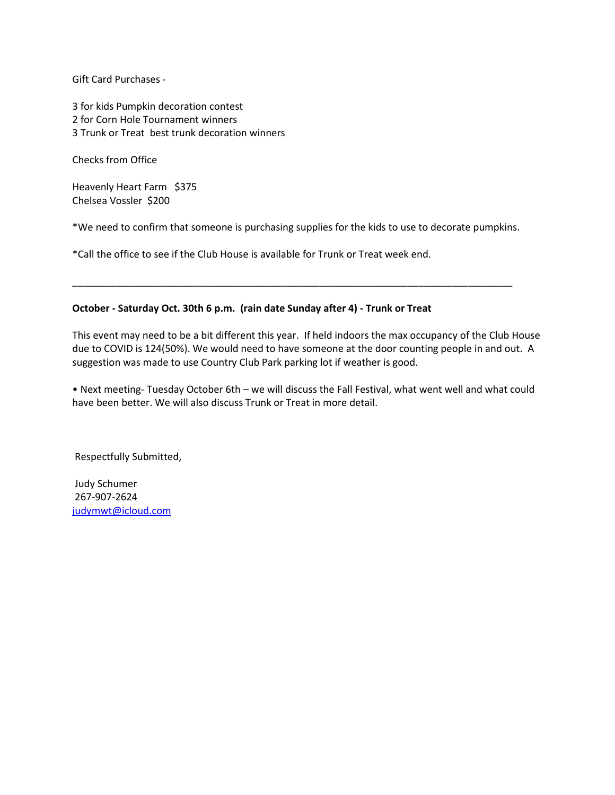Gift Card Purchases -

3 for kids Pumpkin decoration contest 2 for Corn Hole Tournament winners 3 Trunk or Treat best trunk decoration winners

Checks from Office

Heavenly Heart Farm \$375 Chelsea Vossler \$200

\*We need to confirm that someone is purchasing supplies for the kids to use to decorate pumpkins.

\_\_\_\_\_\_\_\_\_\_\_\_\_\_\_\_\_\_\_\_\_\_\_\_\_\_\_\_\_\_\_\_\_\_\_\_\_\_\_\_\_\_\_\_\_\_\_\_\_\_\_\_\_\_\_\_\_\_\_\_\_\_\_\_\_\_\_\_\_\_\_\_\_\_\_\_\_\_\_\_

\*Call the office to see if the Club House is available for Trunk or Treat week end.

#### **October - Saturday Oct. 30th 6 p.m. (rain date Sunday after 4) - Trunk or Treat**

This event may need to be a bit different this year. If held indoors the max occupancy of the Club House due to COVID is 124(50%). We would need to have someone at the door counting people in and out. A suggestion was made to use Country Club Park parking lot if weather is good.

• Next meeting- Tuesday October 6th – we will discuss the Fall Festival, what went well and what could have been better. We will also discuss Trunk or Treat in more detail.

Respectfully Submitted,

Judy Schumer 267-907-2624 [judymwt@icloud.com](mailto:judymwt@icloud.com)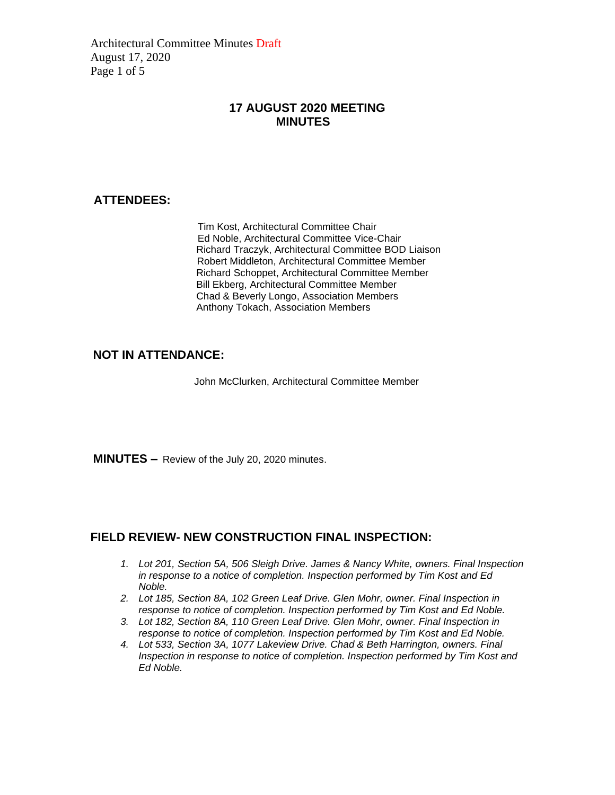Architectural Committee Minutes Draft August 17, 2020 Page 1 of 5

### **17 AUGUST 2020 MEETING MINUTES**

### **ATTENDEES:**

Tim Kost, Architectural Committee Chair Ed Noble, Architectural Committee Vice-Chair Richard Traczyk, Architectural Committee BOD Liaison Robert Middleton, Architectural Committee Member Richard Schoppet, Architectural Committee Member Bill Ekberg, Architectural Committee Member Chad & Beverly Longo, Association Members Anthony Tokach, Association Members

## **NOT IN ATTENDANCE:**

John McClurken, Architectural Committee Member

**MINUTES –** Review of the July 20, 2020 minutes.

### **FIELD REVIEW- NEW CONSTRUCTION FINAL INSPECTION:**

- *1. Lot 201, Section 5A, 506 Sleigh Drive. James & Nancy White, owners. Final Inspection in response to a notice of completion. Inspection performed by Tim Kost and Ed Noble.*
- *2. Lot 185, Section 8A, 102 Green Leaf Drive. Glen Mohr, owner. Final Inspection in response to notice of completion. Inspection performed by Tim Kost and Ed Noble.*
- *3. Lot 182, Section 8A, 110 Green Leaf Drive. Glen Mohr, owner. Final Inspection in response to notice of completion. Inspection performed by Tim Kost and Ed Noble.*
- *4. Lot 533, Section 3A, 1077 Lakeview Drive. Chad & Beth Harrington, owners. Final Inspection in response to notice of completion. Inspection performed by Tim Kost and Ed Noble.*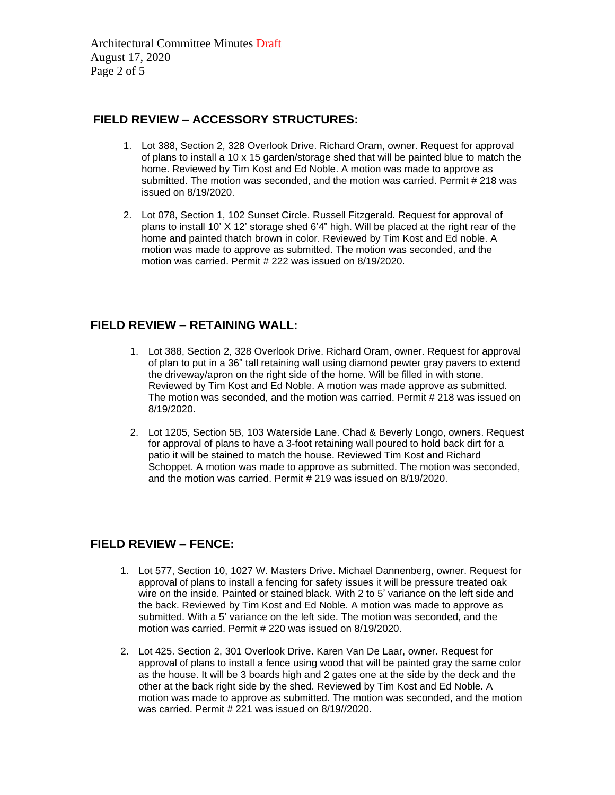Architectural Committee Minutes Draft August 17, 2020 Page 2 of 5

## **FIELD REVIEW – ACCESSORY STRUCTURES:**

- 1. Lot 388, Section 2, 328 Overlook Drive. Richard Oram, owner. Request for approval of plans to install a 10 x 15 garden/storage shed that will be painted blue to match the home. Reviewed by Tim Kost and Ed Noble. A motion was made to approve as submitted. The motion was seconded, and the motion was carried. Permit # 218 was issued on 8/19/2020.
- 2. Lot 078, Section 1, 102 Sunset Circle. Russell Fitzgerald. Request for approval of plans to install 10' X 12' storage shed 6'4" high. Will be placed at the right rear of the home and painted thatch brown in color. Reviewed by Tim Kost and Ed noble. A motion was made to approve as submitted. The motion was seconded, and the motion was carried. Permit # 222 was issued on 8/19/2020.

## **FIELD REVIEW – RETAINING WALL:**

- 1. Lot 388, Section 2, 328 Overlook Drive. Richard Oram, owner. Request for approval of plan to put in a 36" tall retaining wall using diamond pewter gray pavers to extend the driveway/apron on the right side of the home. Will be filled in with stone. Reviewed by Tim Kost and Ed Noble. A motion was made approve as submitted. The motion was seconded, and the motion was carried. Permit # 218 was issued on 8/19/2020.
- 2. Lot 1205, Section 5B, 103 Waterside Lane. Chad & Beverly Longo, owners. Request for approval of plans to have a 3-foot retaining wall poured to hold back dirt for a patio it will be stained to match the house. Reviewed Tim Kost and Richard Schoppet. A motion was made to approve as submitted. The motion was seconded, and the motion was carried. Permit # 219 was issued on 8/19/2020.

## **FIELD REVIEW – FENCE:**

- 1. Lot 577, Section 10, 1027 W. Masters Drive. Michael Dannenberg, owner. Request for approval of plans to install a fencing for safety issues it will be pressure treated oak wire on the inside. Painted or stained black. With 2 to 5' variance on the left side and the back. Reviewed by Tim Kost and Ed Noble. A motion was made to approve as submitted. With a 5' variance on the left side. The motion was seconded, and the motion was carried. Permit # 220 was issued on 8/19/2020.
- 2. Lot 425. Section 2, 301 Overlook Drive. Karen Van De Laar, owner. Request for approval of plans to install a fence using wood that will be painted gray the same color as the house. It will be 3 boards high and 2 gates one at the side by the deck and the other at the back right side by the shed. Reviewed by Tim Kost and Ed Noble. A motion was made to approve as submitted. The motion was seconded, and the motion was carried. Permit # 221 was issued on 8/19//2020.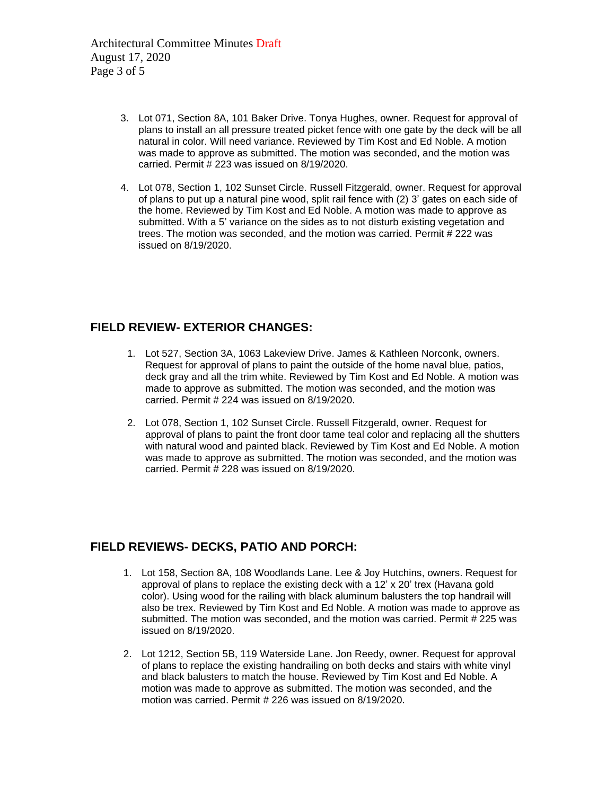Architectural Committee Minutes Draft August 17, 2020 Page 3 of 5

- 3. Lot 071, Section 8A, 101 Baker Drive. Tonya Hughes, owner. Request for approval of plans to install an all pressure treated picket fence with one gate by the deck will be all natural in color. Will need variance. Reviewed by Tim Kost and Ed Noble. A motion was made to approve as submitted. The motion was seconded, and the motion was carried. Permit # 223 was issued on 8/19/2020.
- 4. Lot 078, Section 1, 102 Sunset Circle. Russell Fitzgerald, owner. Request for approval of plans to put up a natural pine wood, split rail fence with (2) 3' gates on each side of the home. Reviewed by Tim Kost and Ed Noble. A motion was made to approve as submitted. With a 5' variance on the sides as to not disturb existing vegetation and trees. The motion was seconded, and the motion was carried. Permit # 222 was issued on 8/19/2020.

## **FIELD REVIEW- EXTERIOR CHANGES:**

- 1. Lot 527, Section 3A, 1063 Lakeview Drive. James & Kathleen Norconk, owners. Request for approval of plans to paint the outside of the home naval blue, patios, deck gray and all the trim white. Reviewed by Tim Kost and Ed Noble. A motion was made to approve as submitted. The motion was seconded, and the motion was carried. Permit # 224 was issued on 8/19/2020.
- 2. Lot 078, Section 1, 102 Sunset Circle. Russell Fitzgerald, owner. Request for approval of plans to paint the front door tame teal color and replacing all the shutters with natural wood and painted black. Reviewed by Tim Kost and Ed Noble. A motion was made to approve as submitted. The motion was seconded, and the motion was carried. Permit # 228 was issued on 8/19/2020.

# **FIELD REVIEWS- DECKS, PATIO AND PORCH:**

- 1. Lot 158, Section 8A, 108 Woodlands Lane. Lee & Joy Hutchins, owners. Request for approval of plans to replace the existing deck with a 12' x 20' trex (Havana gold color). Using wood for the railing with black aluminum balusters the top handrail will also be trex. Reviewed by Tim Kost and Ed Noble. A motion was made to approve as submitted. The motion was seconded, and the motion was carried. Permit # 225 was issued on 8/19/2020.
- 2. Lot 1212, Section 5B, 119 Waterside Lane. Jon Reedy, owner. Request for approval of plans to replace the existing handrailing on both decks and stairs with white vinyl and black balusters to match the house. Reviewed by Tim Kost and Ed Noble. A motion was made to approve as submitted. The motion was seconded, and the motion was carried. Permit # 226 was issued on 8/19/2020.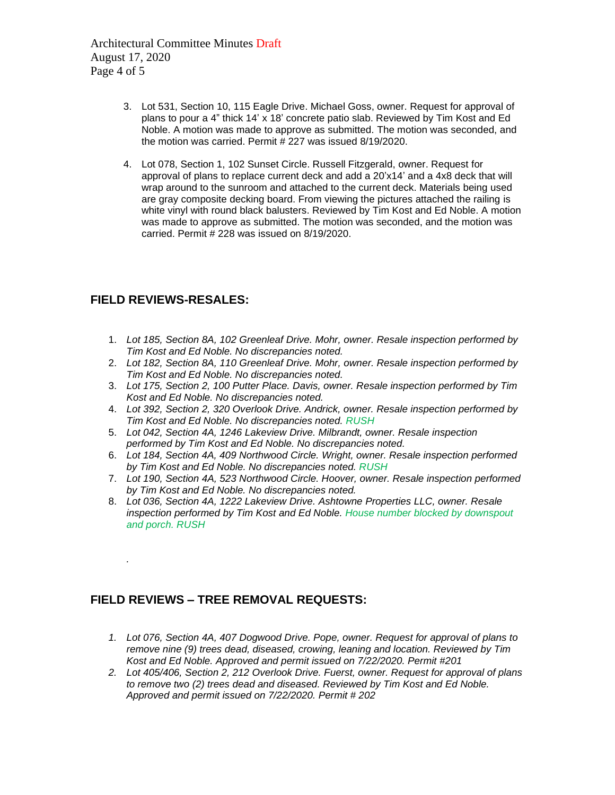Architectural Committee Minutes Draft August 17, 2020 Page 4 of 5

- 3. Lot 531, Section 10, 115 Eagle Drive. Michael Goss, owner. Request for approval of plans to pour a 4" thick 14' x 18' concrete patio slab. Reviewed by Tim Kost and Ed Noble. A motion was made to approve as submitted. The motion was seconded, and the motion was carried. Permit # 227 was issued 8/19/2020.
- 4. Lot 078, Section 1, 102 Sunset Circle. Russell Fitzgerald, owner. Request for approval of plans to replace current deck and add a 20'x14' and a 4x8 deck that will wrap around to the sunroom and attached to the current deck. Materials being used are gray composite decking board. From viewing the pictures attached the railing is white vinyl with round black balusters. Reviewed by Tim Kost and Ed Noble. A motion was made to approve as submitted. The motion was seconded, and the motion was carried. Permit # 228 was issued on 8/19/2020.

### **FIELD REVIEWS-RESALES:**

*.*

- 1. *Lot 185, Section 8A, 102 Greenleaf Drive. Mohr, owner. Resale inspection performed by Tim Kost and Ed Noble. No discrepancies noted.*
- 2. *Lot 182, Section 8A, 110 Greenleaf Drive. Mohr, owner. Resale inspection performed by Tim Kost and Ed Noble. No discrepancies noted.*
- 3. *Lot 175, Section 2, 100 Putter Place. Davis, owner. Resale inspection performed by Tim Kost and Ed Noble. No discrepancies noted.*
- 4. *Lot 392, Section 2, 320 Overlook Drive. Andrick, owner. Resale inspection performed by Tim Kost and Ed Noble. No discrepancies noted. RUSH*
- 5. *Lot 042, Section 4A, 1246 Lakeview Drive. Milbrandt, owner. Resale inspection performed by Tim Kost and Ed Noble. No discrepancies noted.*
- 6. *Lot 184, Section 4A, 409 Northwood Circle. Wright, owner. Resale inspection performed by Tim Kost and Ed Noble. No discrepancies noted. RUSH*
- 7. *Lot 190, Section 4A, 523 Northwood Circle. Hoover, owner. Resale inspection performed by Tim Kost and Ed Noble. No discrepancies noted.*
- 8. *Lot 036, Section 4A, 1222 Lakeview Drive. Ashtowne Properties LLC, owner. Resale inspection performed by Tim Kost and Ed Noble. House number blocked by downspout and porch. RUSH*

## **FIELD REVIEWS – TREE REMOVAL REQUESTS:**

- *1. Lot 076, Section 4A, 407 Dogwood Drive. Pope, owner. Request for approval of plans to remove nine (9) trees dead, diseased, crowing, leaning and location. Reviewed by Tim Kost and Ed Noble. Approved and permit issued on 7/22/2020. Permit #201*
- *2. Lot 405/406, Section 2, 212 Overlook Drive. Fuerst, owner. Request for approval of plans to remove two (2) trees dead and diseased. Reviewed by Tim Kost and Ed Noble. Approved and permit issued on 7/22/2020. Permit # 202*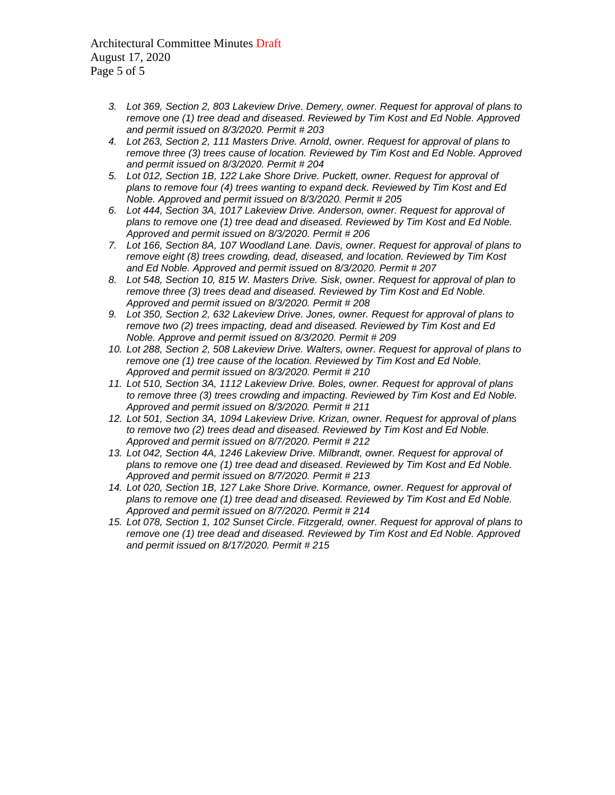Architectural Committee Minutes Draft August 17, 2020 Page 5 of 5

- *3. Lot 369, Section 2, 803 Lakeview Drive. Demery, owner. Request for approval of plans to remove one (1) tree dead and diseased. Reviewed by Tim Kost and Ed Noble. Approved and permit issued on 8/3/2020. Permit # 203*
- *4. Lot 263, Section 2, 111 Masters Drive. Arnold, owner. Request for approval of plans to remove three (3) trees cause of location. Reviewed by Tim Kost and Ed Noble. Approved and permit issued on 8/3/2020. Permit # 204*
- *5. Lot 012, Section 1B, 122 Lake Shore Drive. Puckett, owner. Request for approval of plans to remove four (4) trees wanting to expand deck. Reviewed by Tim Kost and Ed Noble. Approved and permit issued on 8/3/2020. Permit # 205*
- *6. Lot 444, Section 3A, 1017 Lakeview Drive. Anderson, owner. Request for approval of plans to remove one (1) tree dead and diseased. Reviewed by Tim Kost and Ed Noble. Approved and permit issued on 8/3/2020. Permit # 206*
- *7. Lot 166, Section 8A, 107 Woodland Lane. Davis, owner. Request for approval of plans to remove eight (8) trees crowding, dead, diseased, and location. Reviewed by Tim Kost and Ed Noble. Approved and permit issued on 8/3/2020. Permit # 207*
- *8. Lot 548, Section 10, 815 W. Masters Drive. Sisk, owner. Request for approval of plan to remove three (3) trees dead and diseased. Reviewed by Tim Kost and Ed Noble. Approved and permit issued on 8/3/2020. Permit # 208*
- *9. Lot 350, Section 2, 632 Lakeview Drive. Jones, owner. Request for approval of plans to remove two (2) trees impacting, dead and diseased. Reviewed by Tim Kost and Ed Noble. Approve and permit issued on 8/3/2020. Permit # 209*
- *10. Lot 288, Section 2, 508 Lakeview Drive. Walters, owner. Request for approval of plans to remove one (1) tree cause of the location. Reviewed by Tim Kost and Ed Noble. Approved and permit issued on 8/3/2020. Permit # 210*
- *11. Lot 510, Section 3A, 1112 Lakeview Drive. Boles, owner. Request for approval of plans to remove three (3) trees crowding and impacting. Reviewed by Tim Kost and Ed Noble. Approved and permit issued on 8/3/2020. Permit # 211*
- *12. Lot 501, Section 3A, 1094 Lakeview Drive. Krizan, owner. Request for approval of plans to remove two (2) trees dead and diseased. Reviewed by Tim Kost and Ed Noble. Approved and permit issued on 8/7/2020. Permit # 212*
- *13. Lot 042, Section 4A, 1246 Lakeview Drive. Milbrandt, owner. Request for approval of plans to remove one (1) tree dead and diseased. Reviewed by Tim Kost and Ed Noble. Approved and permit issued on 8/7/2020. Permit # 213*
- *14. Lot 020, Section 1B, 127 Lake Shore Drive. Kormance, owner. Request for approval of plans to remove one (1) tree dead and diseased. Reviewed by Tim Kost and Ed Noble. Approved and permit issued on 8/7/2020. Permit # 214*
- *15. Lot 078, Section 1, 102 Sunset Circle. Fitzgerald, owner. Request for approval of plans to remove one (1) tree dead and diseased. Reviewed by Tim Kost and Ed Noble. Approved and permit issued on 8/17/2020. Permit # 215*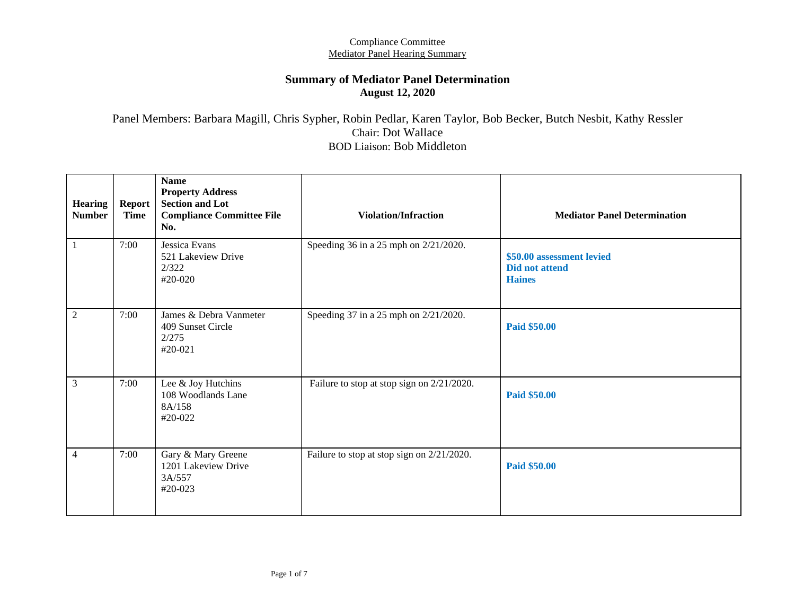### **Summary of Mediator Panel Determination August 12, 2020**

Panel Members: Barbara Magill, Chris Sypher, Robin Pedlar, Karen Taylor, Bob Becker, Butch Nesbit, Kathy Ressler Chair: Dot Wallace BOD Liaison: Bob Middleton

| <b>Hearing</b><br><b>Number</b> | Report<br><b>Time</b> | <b>Name</b><br><b>Property Address</b><br><b>Section and Lot</b><br><b>Compliance Committee File</b><br>No. | <b>Violation/Infraction</b>                | <b>Mediator Panel Determination</b>                                 |
|---------------------------------|-----------------------|-------------------------------------------------------------------------------------------------------------|--------------------------------------------|---------------------------------------------------------------------|
| $\mathbf{1}$                    | 7:00                  | Jessica Evans<br>521 Lakeview Drive<br>2/322<br>#20-020                                                     | Speeding 36 in a 25 mph on 2/21/2020.      | \$50.00 assessment levied<br><b>Did not attend</b><br><b>Haines</b> |
| $\sqrt{2}$                      | 7:00                  | James & Debra Vanmeter<br>409 Sunset Circle<br>2/275<br>$#20-021$                                           | Speeding 37 in a 25 mph on 2/21/2020.      | <b>Paid \$50.00</b>                                                 |
| $\mathfrak{Z}$                  | 7:00                  | Lee & Joy Hutchins<br>108 Woodlands Lane<br>8A/158<br>#20-022                                               | Failure to stop at stop sign on 2/21/2020. | <b>Paid \$50.00</b>                                                 |
| $\overline{4}$                  | 7:00                  | Gary & Mary Greene<br>1201 Lakeview Drive<br>3A/557<br>#20-023                                              | Failure to stop at stop sign on 2/21/2020. | <b>Paid \$50.00</b>                                                 |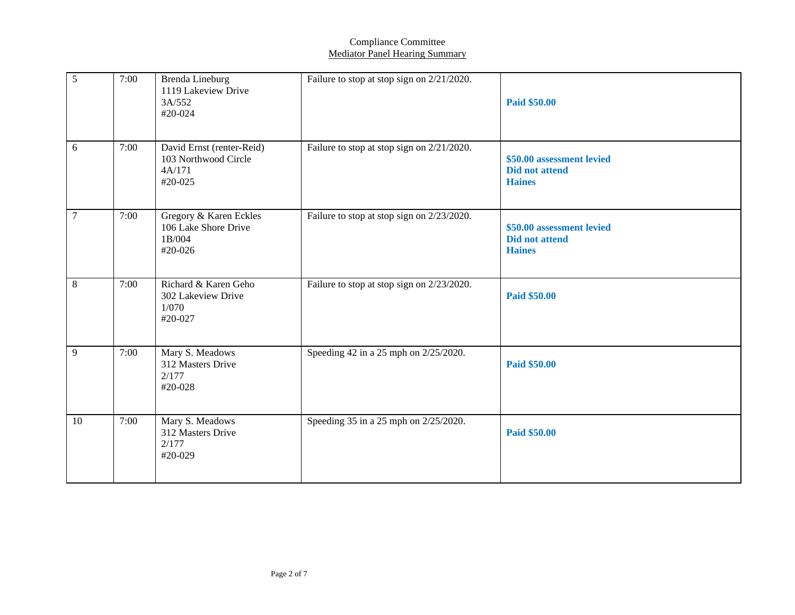| 5              | 7:00 | <b>Brenda Lineburg</b><br>1119 Lakeview Drive<br>3A/552<br>#20-024     | Failure to stop at stop sign on 2/21/2020. | <b>Paid \$50.00</b>                                                 |
|----------------|------|------------------------------------------------------------------------|--------------------------------------------|---------------------------------------------------------------------|
| 6              | 7:00 | David Ernst (renter-Reid)<br>103 Northwood Circle<br>4A/171<br>#20-025 | Failure to stop at stop sign on 2/21/2020. | \$50.00 assessment levied<br><b>Did not attend</b><br><b>Haines</b> |
| $\overline{7}$ | 7:00 | Gregory & Karen Eckles<br>106 Lake Shore Drive<br>1B/004<br>#20-026    | Failure to stop at stop sign on 2/23/2020. | \$50.00 assessment levied<br><b>Did not attend</b><br><b>Haines</b> |
| 8              | 7:00 | Richard & Karen Geho<br>302 Lakeview Drive<br>1/070<br>#20-027         | Failure to stop at stop sign on 2/23/2020. | Paid \$50.00                                                        |
| $\overline{9}$ | 7:00 | Mary S. Meadows<br>312 Masters Drive<br>2/177<br>#20-028               | Speeding 42 in a 25 mph on 2/25/2020.      | <b>Paid \$50.00</b>                                                 |
| 10             | 7:00 | Mary S. Meadows<br>312 Masters Drive<br>2/177<br>#20-029               | Speeding 35 in a 25 mph on 2/25/2020.      | Paid \$50.00                                                        |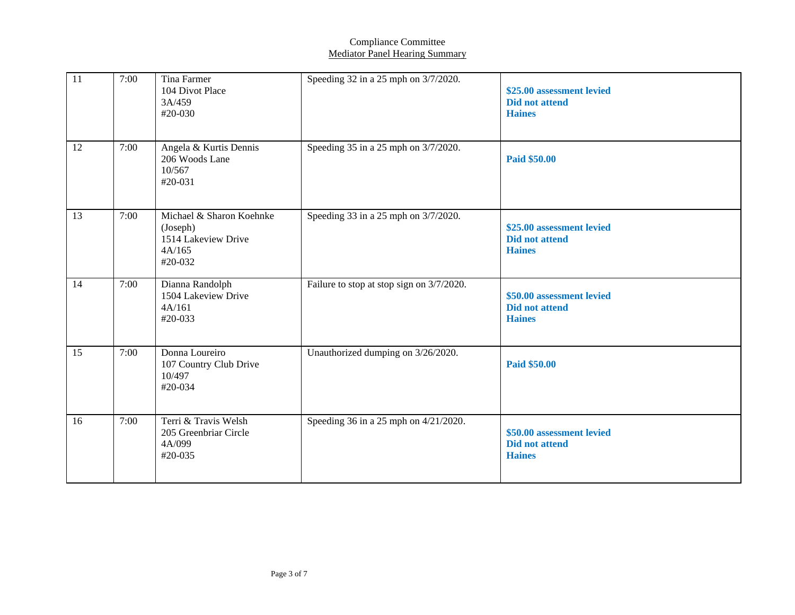| 11 | 7:00 | <b>Tina Farmer</b><br>104 Divot Place<br>3A/459<br>#20-030                       | Speeding 32 in a 25 mph on 3/7/2020.      | \$25.00 assessment levied<br><b>Did not attend</b><br><b>Haines</b> |
|----|------|----------------------------------------------------------------------------------|-------------------------------------------|---------------------------------------------------------------------|
| 12 | 7:00 | Angela & Kurtis Dennis<br>206 Woods Lane<br>10/567<br>#20-031                    | Speeding 35 in a 25 mph on 3/7/2020.      | <b>Paid \$50.00</b>                                                 |
| 13 | 7:00 | Michael & Sharon Koehnke<br>(Joseph)<br>1514 Lakeview Drive<br>4A/165<br>#20-032 | Speeding 33 in a 25 mph on 3/7/2020.      | \$25.00 assessment levied<br><b>Did not attend</b><br><b>Haines</b> |
| 14 | 7:00 | Dianna Randolph<br>1504 Lakeview Drive<br>4A/161<br>#20-033                      | Failure to stop at stop sign on 3/7/2020. | \$50.00 assessment levied<br><b>Did not attend</b><br><b>Haines</b> |
| 15 | 7:00 | Donna Loureiro<br>107 Country Club Drive<br>10/497<br>#20-034                    | Unauthorized dumping on 3/26/2020.        | Paid \$50.00                                                        |
| 16 | 7:00 | Terri & Travis Welsh<br>205 Greenbriar Circle<br>4A/099<br>#20-035               | Speeding 36 in a 25 mph on 4/21/2020.     | \$50.00 assessment levied<br>Did not attend<br><b>Haines</b>        |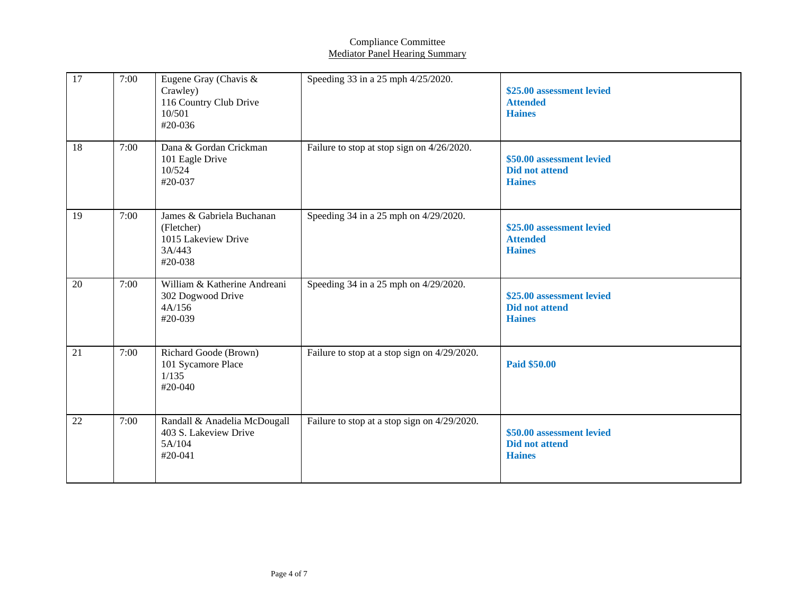| 17 | 7:00 | Eugene Gray (Chavis &<br>Crawley)<br>116 Country Club Drive<br>10/501<br>#20-036    | Speeding 33 in a 25 mph 4/25/2020.           | \$25.00 assessment levied<br><b>Attended</b><br><b>Haines</b>       |
|----|------|-------------------------------------------------------------------------------------|----------------------------------------------|---------------------------------------------------------------------|
| 18 | 7:00 | Dana & Gordan Crickman<br>101 Eagle Drive<br>10/524<br>#20-037                      | Failure to stop at stop sign on 4/26/2020.   | \$50.00 assessment levied<br><b>Did not attend</b><br><b>Haines</b> |
| 19 | 7:00 | James & Gabriela Buchanan<br>(Fletcher)<br>1015 Lakeview Drive<br>3A/443<br>#20-038 | Speeding 34 in a 25 mph on 4/29/2020.        | \$25.00 assessment levied<br><b>Attended</b><br><b>Haines</b>       |
| 20 | 7:00 | William & Katherine Andreani<br>302 Dogwood Drive<br>4A/156<br>#20-039              | Speeding 34 in a 25 mph on 4/29/2020.        | \$25.00 assessment levied<br><b>Did not attend</b><br><b>Haines</b> |
| 21 | 7:00 | Richard Goode (Brown)<br>101 Sycamore Place<br>1/135<br>#20-040                     | Failure to stop at a stop sign on 4/29/2020. | <b>Paid \$50.00</b>                                                 |
| 22 | 7:00 | Randall & Anadelia McDougall<br>403 S. Lakeview Drive<br>5A/104<br>#20-041          | Failure to stop at a stop sign on 4/29/2020. | \$50.00 assessment levied<br><b>Did not attend</b><br><b>Haines</b> |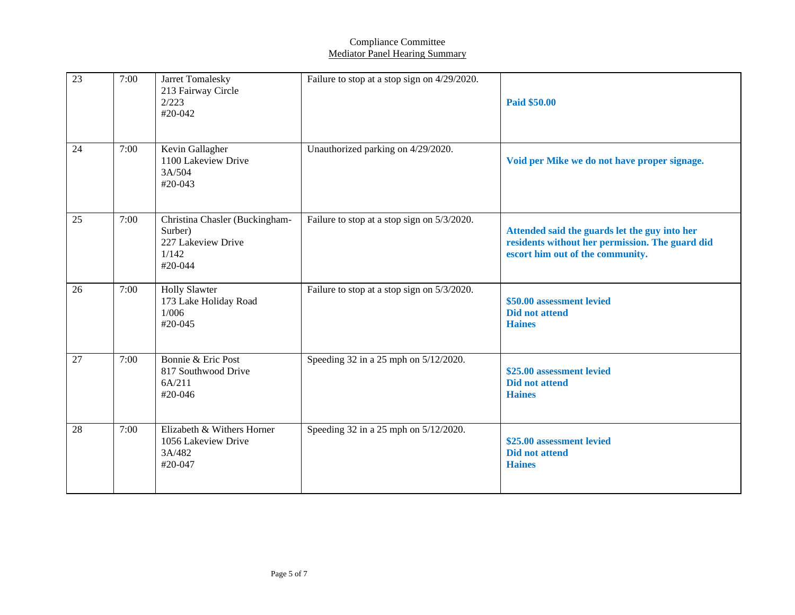| 23 | 7:00 | Jarret Tomalesky<br>213 Fairway Circle<br>2/223<br>#20-042                            | Failure to stop at a stop sign on $4/29/2020$ . | Paid \$50.00                                                                                                                         |
|----|------|---------------------------------------------------------------------------------------|-------------------------------------------------|--------------------------------------------------------------------------------------------------------------------------------------|
| 24 | 7:00 | Kevin Gallagher<br>1100 Lakeview Drive<br>3A/504<br>#20-043                           | Unauthorized parking on 4/29/2020.              | Void per Mike we do not have proper signage.                                                                                         |
| 25 | 7:00 | Christina Chasler (Buckingham-<br>Surber)<br>227 Lakeview Drive<br>1/142<br>$#20-044$ | Failure to stop at a stop sign on 5/3/2020.     | Attended said the guards let the guy into her<br>residents without her permission. The guard did<br>escort him out of the community. |
| 26 | 7:00 | <b>Holly Slawter</b><br>173 Lake Holiday Road<br>1/006<br>#20-045                     | Failure to stop at a stop sign on 5/3/2020.     | \$50.00 assessment levied<br><b>Did not attend</b><br><b>Haines</b>                                                                  |
| 27 | 7:00 | Bonnie & Eric Post<br>817 Southwood Drive<br>6A/211<br>#20-046                        | Speeding 32 in a 25 mph on 5/12/2020.           | \$25.00 assessment levied<br><b>Did not attend</b><br><b>Haines</b>                                                                  |
| 28 | 7:00 | Elizabeth & Withers Horner<br>1056 Lakeview Drive<br>3A/482<br>#20-047                | Speeding 32 in a 25 mph on 5/12/2020.           | \$25.00 assessment levied<br><b>Did not attend</b><br><b>Haines</b>                                                                  |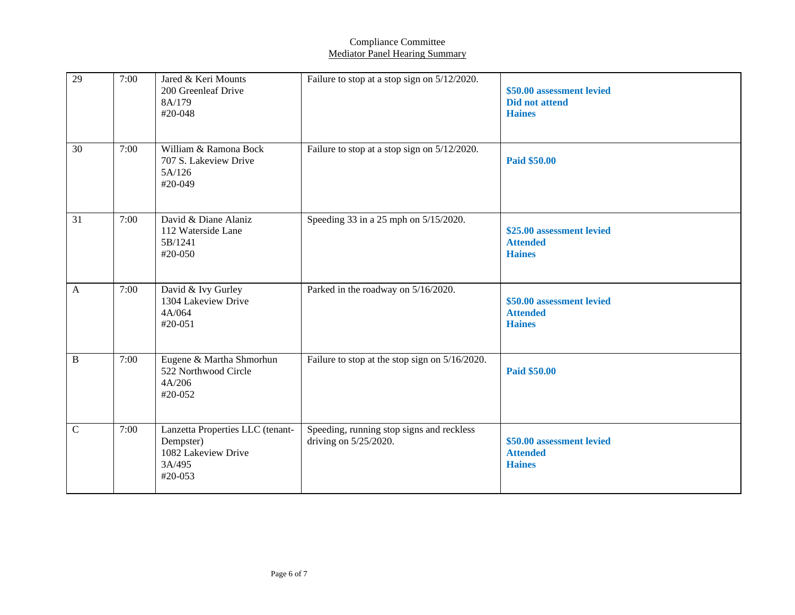| 29           | 7:00 | Jared & Keri Mounts<br>200 Greenleaf Drive<br>8A/179<br>#20-048                           | Failure to stop at a stop sign on 5/12/2020.                          | \$50.00 assessment levied<br><b>Did not attend</b><br><b>Haines</b> |
|--------------|------|-------------------------------------------------------------------------------------------|-----------------------------------------------------------------------|---------------------------------------------------------------------|
| 30           | 7:00 | William & Ramona Bock<br>707 S. Lakeview Drive<br>5A/126<br>#20-049                       | Failure to stop at a stop sign on 5/12/2020.                          | Paid \$50.00                                                        |
| 31           | 7:00 | David & Diane Alaniz<br>112 Waterside Lane<br>5B/1241<br>#20-050                          | Speeding 33 in a 25 mph on 5/15/2020.                                 | \$25.00 assessment levied<br><b>Attended</b><br><b>Haines</b>       |
| $\mathbf{A}$ | 7:00 | David & Ivy Gurley<br>1304 Lakeview Drive<br>4A/064<br>#20-051                            | Parked in the roadway on 5/16/2020.                                   | \$50.00 assessment levied<br><b>Attended</b><br><b>Haines</b>       |
| $\, {\bf B}$ | 7:00 | Eugene & Martha Shmorhun<br>522 Northwood Circle<br>4A/206<br>#20-052                     | Failure to stop at the stop sign on 5/16/2020.                        | Paid \$50.00                                                        |
| $\mathbf C$  | 7:00 | Lanzetta Properties LLC (tenant-<br>Dempster)<br>1082 Lakeview Drive<br>3A/495<br>#20-053 | Speeding, running stop signs and reckless<br>driving on $5/25/2020$ . | \$50.00 assessment levied<br><b>Attended</b><br><b>Haines</b>       |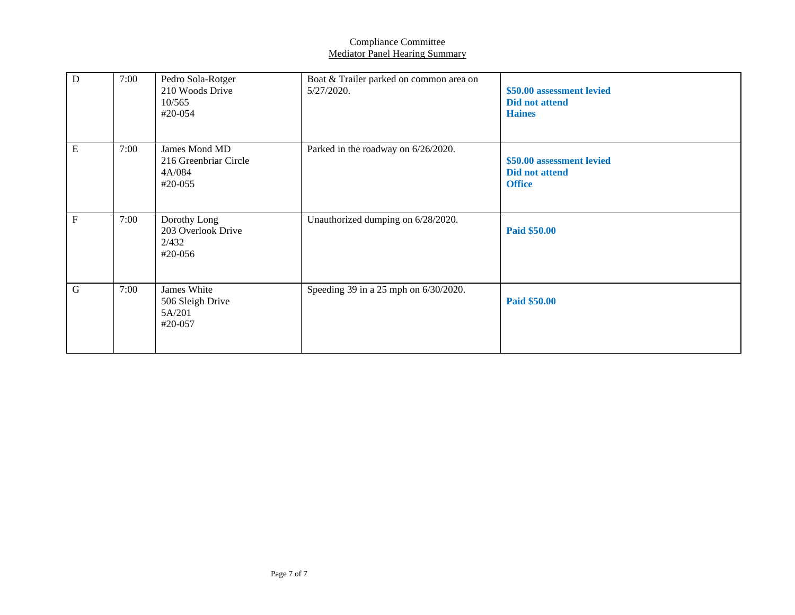| $\mathbf D$    | 7:00 | Pedro Sola-Rotger<br>210 Woods Drive<br>10/565<br>#20-054   | Boat & Trailer parked on common area on<br>5/27/2020. | \$50.00 assessment levied<br><b>Did not attend</b><br><b>Haines</b> |
|----------------|------|-------------------------------------------------------------|-------------------------------------------------------|---------------------------------------------------------------------|
| ${\bf E}$      | 7:00 | James Mond MD<br>216 Greenbriar Circle<br>4A/084<br>#20-055 | Parked in the roadway on 6/26/2020.                   | \$50.00 assessment levied<br><b>Did not attend</b><br><b>Office</b> |
| $\overline{F}$ | 7:00 | Dorothy Long<br>203 Overlook Drive<br>2/432<br>$#20-056$    | Unauthorized dumping on 6/28/2020.                    | <b>Paid \$50.00</b>                                                 |
| $\mathbf G$    | 7:00 | James White<br>506 Sleigh Drive<br>5A/201<br>#20-057        | Speeding 39 in a 25 mph on 6/30/2020.                 | <b>Paid \$50.00</b>                                                 |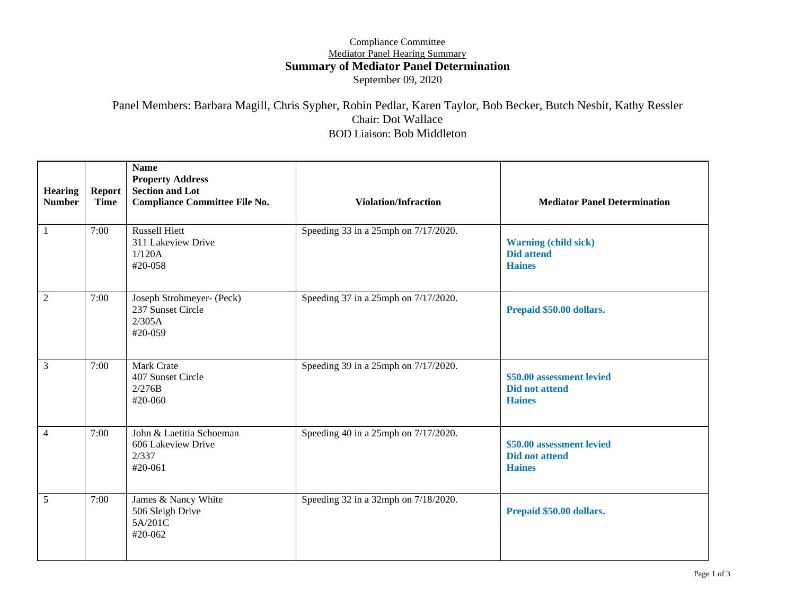### Compliance Committee Mediator Panel Hearing Summary **Summary of Mediator Panel Determination** September 09, 2020

### Panel Members: Barbara Magill, Chris Sypher, Robin Pedlar, Karen Taylor, Bob Becker, Butch Nesbit, Kathy Ressler Chair: Dot Wallace BOD Liaison: Bob Middleton

| <b>Hearing</b><br><b>Number</b> | <b>Report</b><br><b>Time</b> | <b>Name</b><br><b>Property Address</b><br><b>Section and Lot</b><br><b>Compliance Committee File No.</b> | <b>Violation/Infraction</b>          | <b>Mediator Panel Determination</b>                                 |
|---------------------------------|------------------------------|----------------------------------------------------------------------------------------------------------|--------------------------------------|---------------------------------------------------------------------|
|                                 | 7:00                         | <b>Russell Hiett</b><br>311 Lakeview Drive<br>1/120A<br>#20-058                                          | Speeding 33 in a 25mph on 7/17/2020. | <b>Warning (child sick)</b><br><b>Did attend</b><br><b>Haines</b>   |
| $\overline{c}$                  | 7:00                         | Joseph Strohmeyer- (Peck)<br>237 Sunset Circle<br>2/305A<br>#20-059                                      | Speeding 37 in a 25mph on 7/17/2020. | Prepaid \$50.00 dollars.                                            |
| 3                               | 7:00                         | Mark Crate<br>407 Sunset Circle<br>2/276B<br>#20-060                                                     | Speeding 39 in a 25mph on 7/17/2020. | \$50.00 assessment levied<br><b>Did not attend</b><br><b>Haines</b> |
| 4                               | 7:00                         | John & Laetitia Schoeman<br>606 Lakeview Drive<br>2/337<br>#20-061                                       | Speeding 40 in a 25mph on 7/17/2020. | \$50.00 assessment levied<br><b>Did not attend</b><br><b>Haines</b> |
| 5                               | 7:00                         | James & Nancy White<br>506 Sleigh Drive<br>5A/201C<br>#20-062                                            | Speeding 32 in a 32mph on 7/18/2020. | Prepaid \$50.00 dollars.                                            |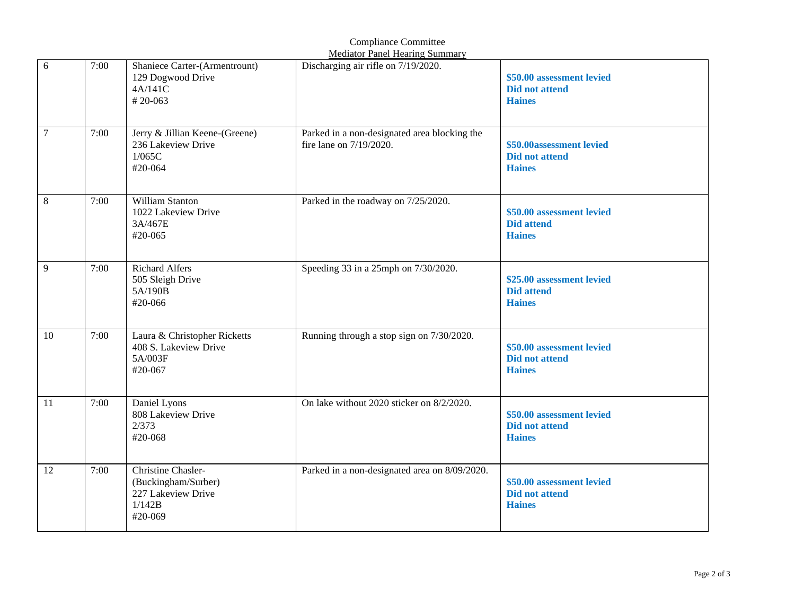|                |      |                                                                                      | <b>Mediator Panel Hearing Summary</b>                                   |                                                                     |
|----------------|------|--------------------------------------------------------------------------------------|-------------------------------------------------------------------------|---------------------------------------------------------------------|
| 6              | 7:00 | Shaniece Carter-(Armentrount)<br>129 Dogwood Drive<br>4A/141C<br>$# 20 - 063$        | Discharging air rifle on 7/19/2020.                                     | \$50.00 assessment levied<br><b>Did not attend</b><br><b>Haines</b> |
| $\overline{7}$ | 7:00 | Jerry & Jillian Keene-(Greene)<br>236 Lakeview Drive<br>1/065C<br>#20-064            | Parked in a non-designated area blocking the<br>fire lane on 7/19/2020. | \$50.00assessment levied<br><b>Did not attend</b><br><b>Haines</b>  |
| 8              | 7:00 | William Stanton<br>1022 Lakeview Drive<br>3A/467E<br>#20-065                         | Parked in the roadway on 7/25/2020.                                     | \$50.00 assessment levied<br><b>Did attend</b><br><b>Haines</b>     |
| 9              | 7:00 | <b>Richard Alfers</b><br>505 Sleigh Drive<br>5A/190B<br>#20-066                      | Speeding 33 in a 25mph on 7/30/2020.                                    | \$25.00 assessment levied<br><b>Did attend</b><br><b>Haines</b>     |
| 10             | 7:00 | Laura & Christopher Ricketts<br>408 S. Lakeview Drive<br>5A/003F<br>#20-067          | Running through a stop sign on 7/30/2020.                               | \$50.00 assessment levied<br><b>Did not attend</b><br><b>Haines</b> |
| 11             | 7:00 | Daniel Lyons<br>808 Lakeview Drive<br>2/373<br>#20-068                               | On lake without 2020 sticker on 8/2/2020.                               | \$50.00 assessment levied<br><b>Did not attend</b><br><b>Haines</b> |
| 12             | 7:00 | Christine Chasler-<br>(Buckingham/Surber)<br>227 Lakeview Drive<br>1/142B<br>#20-069 | Parked in a non-designated area on 8/09/2020.                           | \$50.00 assessment levied<br><b>Did not attend</b><br><b>Haines</b> |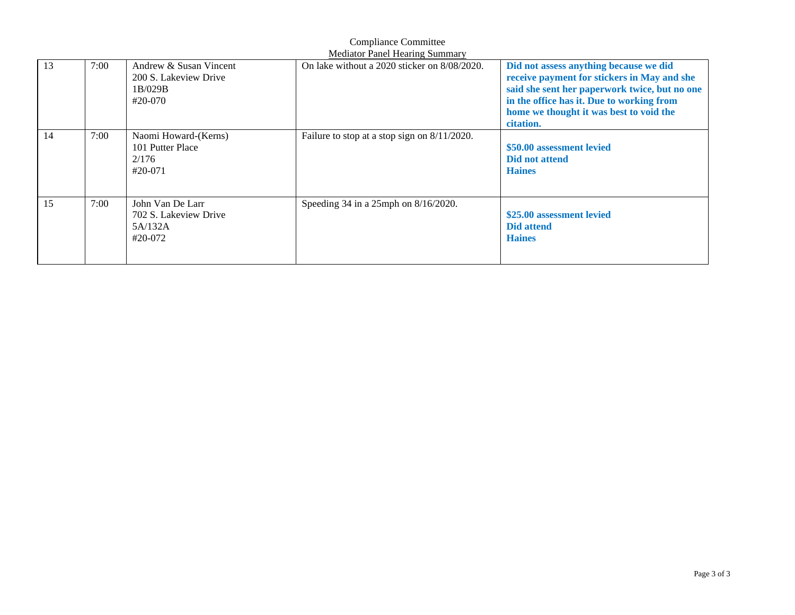|    |      |                                                                       | Mediator Panel Hearing Summary                  |                                                                                                                                                                                                                                             |
|----|------|-----------------------------------------------------------------------|-------------------------------------------------|---------------------------------------------------------------------------------------------------------------------------------------------------------------------------------------------------------------------------------------------|
| 13 | 7:00 | Andrew & Susan Vincent<br>200 S. Lakeview Drive<br>1B/029B<br>#20-070 | On lake without a 2020 sticker on 8/08/2020.    | Did not assess anything because we did<br>receive payment for stickers in May and she<br>said she sent her paperwork twice, but no one<br>in the office has it. Due to working from<br>home we thought it was best to void the<br>citation. |
| 14 | 7:00 | Naomi Howard-(Kerns)<br>101 Putter Place<br>2/176<br>#20-071          | Failure to stop at a stop sign on $8/11/2020$ . | \$50.00 assessment levied<br>Did not attend<br><b>Haines</b>                                                                                                                                                                                |
| 15 | 7:00 | John Van De Larr<br>702 S. Lakeview Drive<br>5A/132A<br>#20-072       | Speeding 34 in a 25mph on 8/16/2020.            | \$25.00 assessment levied<br><b>Did attend</b><br><b>Haines</b>                                                                                                                                                                             |

Compliance Committee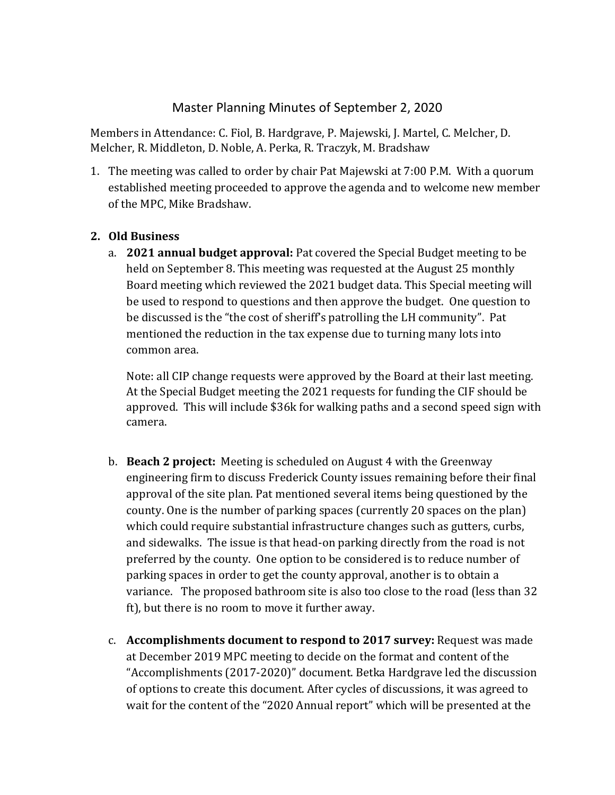# Master Planning Minutes of September 2, 2020

Members in Attendance: C. Fiol, B. Hardgrave, P. Majewski, J. Martel, C. Melcher, D. Melcher, R. Middleton, D. Noble, A. Perka, R. Traczyk, M. Bradshaw

1. The meeting was called to order by chair Pat Majewski at 7:00 P.M. With a quorum established meeting proceeded to approve the agenda and to welcome new member of the MPC, Mike Bradshaw.

## **2. Old Business**

a. **2021 annual budget approval:** Pat covered the Special Budget meeting to be held on September 8. This meeting was requested at the August 25 monthly Board meeting which reviewed the 2021 budget data. This Special meeting will be used to respond to questions and then approve the budget. One question to be discussed is the "the cost of sheriff's patrolling the LH community". Pat mentioned the reduction in the tax expense due to turning many lots into common area.

Note: all CIP change requests were approved by the Board at their last meeting. At the Special Budget meeting the 2021 requests for funding the CIF should be approved. This will include \$36k for walking paths and a second speed sign with camera.

- b. **Beach 2 project:** Meeting is scheduled on August 4 with the Greenway engineering firm to discuss Frederick County issues remaining before their final approval of the site plan. Pat mentioned several items being questioned by the county. One is the number of parking spaces (currently 20 spaces on the plan) which could require substantial infrastructure changes such as gutters, curbs, and sidewalks. The issue is that head-on parking directly from the road is not preferred by the county. One option to be considered is to reduce number of parking spaces in order to get the county approval, another is to obtain a variance. The proposed bathroom site is also too close to the road (less than 32 ft), but there is no room to move it further away.
- c. **Accomplishments document to respond to 2017 survey:** Request was made at December 2019 MPC meeting to decide on the format and content of the "Accomplishments (2017-2020)" document. Betka Hardgrave led the discussion of options to create this document. After cycles of discussions, it was agreed to wait for the content of the "2020 Annual report" which will be presented at the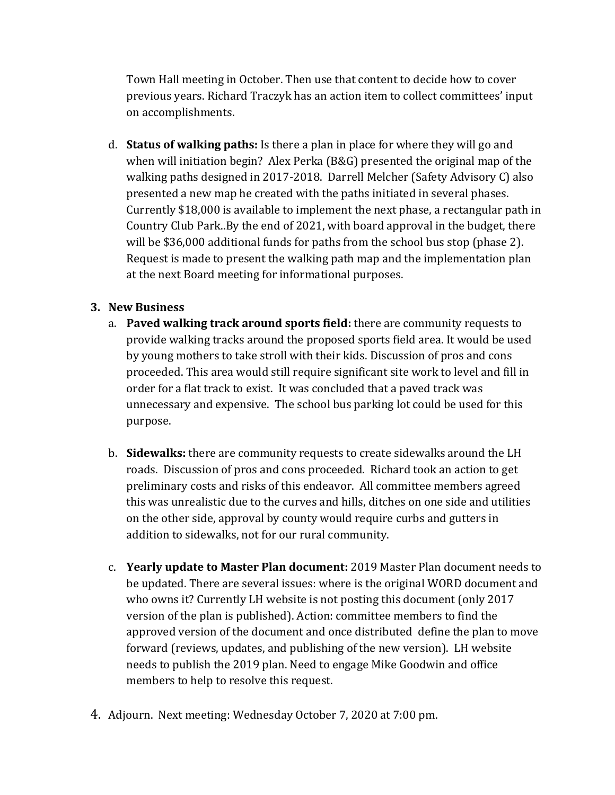Town Hall meeting in October. Then use that content to decide how to cover previous years. Richard Traczyk has an action item to collect committees' input on accomplishments.

d. **Status of walking paths:** Is there a plan in place for where they will go and when will initiation begin? Alex Perka (B&G) presented the original map of the walking paths designed in 2017-2018. Darrell Melcher (Safety Advisory C) also presented a new map he created with the paths initiated in several phases. Currently \$18,000 is available to implement the next phase, a rectangular path in Country Club Park..By the end of 2021, with board approval in the budget, there will be \$36,000 additional funds for paths from the school bus stop (phase 2). Request is made to present the walking path map and the implementation plan at the next Board meeting for informational purposes.

# **3. New Business**

- a. **Paved walking track around sports field:** there are community requests to provide walking tracks around the proposed sports field area. It would be used by young mothers to take stroll with their kids. Discussion of pros and cons proceeded. This area would still require significant site work to level and fill in order for a flat track to exist. It was concluded that a paved track was unnecessary and expensive. The school bus parking lot could be used for this purpose.
- b. **Sidewalks:** there are community requests to create sidewalks around the LH roads. Discussion of pros and cons proceeded. Richard took an action to get preliminary costs and risks of this endeavor. All committee members agreed this was unrealistic due to the curves and hills, ditches on one side and utilities on the other side, approval by county would require curbs and gutters in addition to sidewalks, not for our rural community.
- c. **Yearly update to Master Plan document:** 2019 Master Plan document needs to be updated. There are several issues: where is the original WORD document and who owns it? Currently LH website is not posting this document (only 2017 version of the plan is published). Action: committee members to find the approved version of the document and once distributed define the plan to move forward (reviews, updates, and publishing of the new version). LH website needs to publish the 2019 plan. Need to engage Mike Goodwin and office members to help to resolve this request.
- 4. Adjourn. Next meeting: Wednesday October 7, 2020 at 7:00 pm.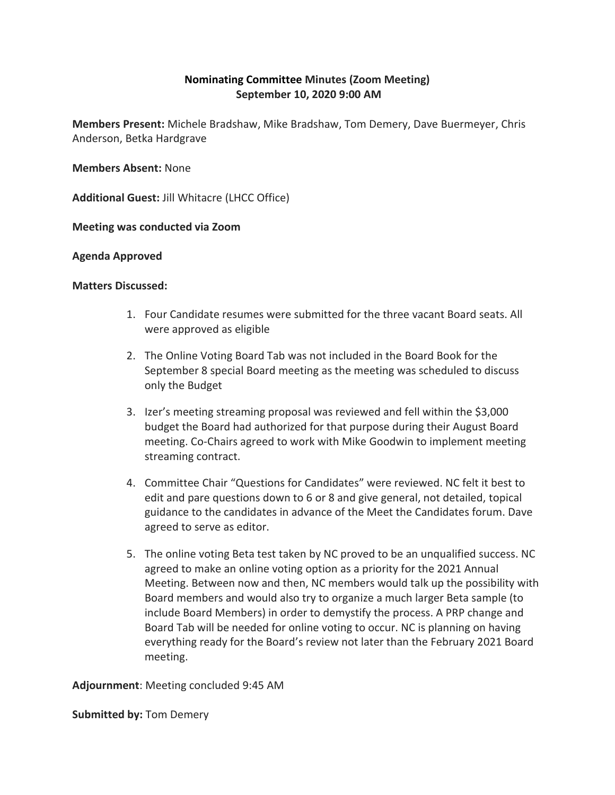## **Nominating Committee Minutes (Zoom Meeting) September 10, 2020 9:00 AM**

**Members Present:** Michele Bradshaw, Mike Bradshaw, Tom Demery, Dave Buermeyer, Chris Anderson, Betka Hardgrave

**Members Absent:** None

**Additional Guest:** Jill Whitacre (LHCC Office)

**Meeting was conducted via Zoom**

### **Agenda Approved**

### **Matters Discussed:**

- 1. Four Candidate resumes were submitted for the three vacant Board seats. All were approved as eligible
- 2. The Online Voting Board Tab was not included in the Board Book for the September 8 special Board meeting as the meeting was scheduled to discuss only the Budget
- 3. Izer's meeting streaming proposal was reviewed and fell within the \$3,000 budget the Board had authorized for that purpose during their August Board meeting. Co-Chairs agreed to work with Mike Goodwin to implement meeting streaming contract.
- 4. Committee Chair "Questions for Candidates" were reviewed. NC felt it best to edit and pare questions down to 6 or 8 and give general, not detailed, topical guidance to the candidates in advance of the Meet the Candidates forum. Dave agreed to serve as editor.
- 5. The online voting Beta test taken by NC proved to be an unqualified success. NC agreed to make an online voting option as a priority for the 2021 Annual Meeting. Between now and then, NC members would talk up the possibility with Board members and would also try to organize a much larger Beta sample (to include Board Members) in order to demystify the process. A PRP change and Board Tab will be needed for online voting to occur. NC is planning on having everything ready for the Board's review not later than the February 2021 Board meeting.

**Adjournment**: Meeting concluded 9:45 AM

**Submitted by:** Tom Demery